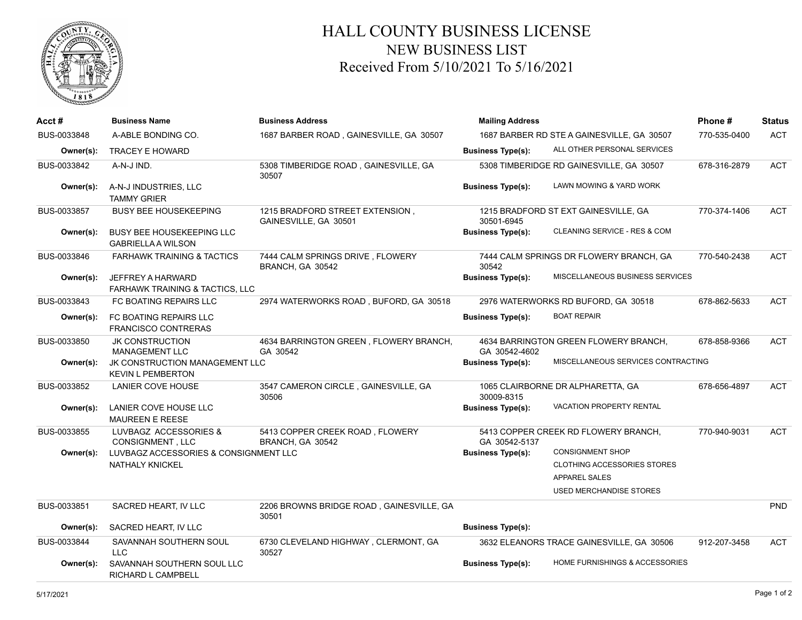

## HALL COUNTY BUSINESS LICENSE NEW BUSINESS LIST Received From 5/10/2021 To 5/16/2021

| Acct#       | <b>Business Name</b>                                                   | <b>Business Address</b>                                  | <b>Mailing Address</b>                     | Phone#                                    | <b>Status</b> |            |
|-------------|------------------------------------------------------------------------|----------------------------------------------------------|--------------------------------------------|-------------------------------------------|---------------|------------|
| BUS-0033848 | A-ABLE BONDING CO.                                                     | 1687 BARBER ROAD, GAINESVILLE, GA 30507                  | 1687 BARBER RD STE A GAINESVILLE, GA 30507 | 770-535-0400                              | <b>ACT</b>    |            |
| Owner(s):   | <b>TRACEY E HOWARD</b>                                                 |                                                          | <b>Business Type(s):</b>                   | ALL OTHER PERSONAL SERVICES               |               |            |
| BUS-0033842 | A-N-J IND.                                                             | 5308 TIMBERIDGE ROAD, GAINESVILLE, GA<br>30507           |                                            | 5308 TIMBERIDGE RD GAINESVILLE, GA 30507  | 678-316-2879  | <b>ACT</b> |
| Owner(s):   | A-N-J INDUSTRIES, LLC<br><b>TAMMY GRIER</b>                            |                                                          | <b>Business Type(s):</b>                   | LAWN MOWING & YARD WORK                   |               |            |
| BUS-0033857 | <b>BUSY BEE HOUSEKEEPING</b>                                           | 1215 BRADFORD STREET EXTENSION,<br>GAINESVILLE, GA 30501 | 30501-6945                                 | 1215 BRADFORD ST EXT GAINESVILLE, GA      | 770-374-1406  | <b>ACT</b> |
| Owner(s):   | <b>BUSY BEE HOUSEKEEPING LLC</b><br><b>GABRIELLA A WILSON</b>          |                                                          | <b>Business Type(s):</b>                   | CLEANING SERVICE - RES & COM              |               |            |
| BUS-0033846 | <b>FARHAWK TRAINING &amp; TACTICS</b>                                  | 7444 CALM SPRINGS DRIVE, FLOWERY<br>BRANCH, GA 30542     | 30542                                      | 7444 CALM SPRINGS DR FLOWERY BRANCH, GA   | 770-540-2438  | <b>ACT</b> |
| Owner(s):   | <b>JEFFREY A HARWARD</b><br><b>FARHAWK TRAINING &amp; TACTICS, LLC</b> |                                                          | <b>Business Type(s):</b>                   | MISCELLANEOUS BUSINESS SERVICES           |               |            |
| BUS-0033843 | FC BOATING REPAIRS LLC                                                 | 2974 WATERWORKS ROAD, BUFORD, GA 30518                   |                                            | 2976 WATERWORKS RD BUFORD, GA 30518       | 678-862-5633  | <b>ACT</b> |
| Owner(s):   | FC BOATING REPAIRS LLC<br><b>FRANCISCO CONTRERAS</b>                   |                                                          | <b>Business Type(s):</b>                   | <b>BOAT REPAIR</b>                        |               |            |
| BUS-0033850 | <b>JK CONSTRUCTION</b><br>MANAGEMENT LLC                               | 4634 BARRINGTON GREEN, FLOWERY BRANCH,<br>GA 30542       | GA 30542-4602                              | 4634 BARRINGTON GREEN FLOWERY BRANCH,     | 678-858-9366  | <b>ACT</b> |
| Owner(s):   | JK CONSTRUCTION MANAGEMENT LLC<br><b>KEVIN L PEMBERTON</b>             |                                                          | <b>Business Type(s):</b>                   | MISCELLANEOUS SERVICES CONTRACTING        |               |            |
| BUS-0033852 | LANIER COVE HOUSE                                                      | 3547 CAMERON CIRCLE, GAINESVILLE, GA<br>30506            | 30009-8315                                 | 1065 CLAIRBORNE DR ALPHARETTA, GA         | 678-656-4897  | <b>ACT</b> |
| Owner(s):   | LANIER COVE HOUSE LLC<br>MAUREEN E REESE                               |                                                          | <b>Business Type(s):</b>                   | <b>VACATION PROPERTY RENTAL</b>           |               |            |
| BUS-0033855 | LUVBAGZ ACCESSORIES &<br><b>CONSIGNMENT, LLC</b>                       | 5413 COPPER CREEK ROAD, FLOWERY<br>BRANCH, GA 30542      | GA 30542-5137                              | 5413 COPPER CREEK RD FLOWERY BRANCH,      | 770-940-9031  | <b>ACT</b> |
| Owner(s):   | LUVBAGZ ACCESSORIES & CONSIGNMENT LLC                                  |                                                          | <b>Business Type(s):</b>                   | <b>CONSIGNMENT SHOP</b>                   |               |            |
|             | NATHALY KNICKEL                                                        |                                                          |                                            | CLOTHING ACCESSORIES STORES               |               |            |
|             |                                                                        |                                                          |                                            | <b>APPAREL SALES</b>                      |               |            |
|             |                                                                        |                                                          |                                            | <b>USED MERCHANDISE STORES</b>            |               |            |
| BUS-0033851 | SACRED HEART, IV LLC                                                   | 2206 BROWNS BRIDGE ROAD, GAINESVILLE, GA<br>30501        |                                            |                                           |               | <b>PND</b> |
| Owner(s):   | SACRED HEART. IV LLC                                                   |                                                          | <b>Business Type(s):</b>                   |                                           |               |            |
| BUS-0033844 | SAVANNAH SOUTHERN SOUL<br>LLC                                          | 6730 CLEVELAND HIGHWAY, CLERMONT, GA<br>30527            |                                            | 3632 ELEANORS TRACE GAINESVILLE, GA 30506 | 912-207-3458  | <b>ACT</b> |
| Owner(s):   | SAVANNAH SOUTHERN SOUL LLC<br>RICHARD L CAMPBELL                       |                                                          | <b>Business Type(s):</b>                   | HOME FURNISHINGS & ACCESSORIES            |               |            |